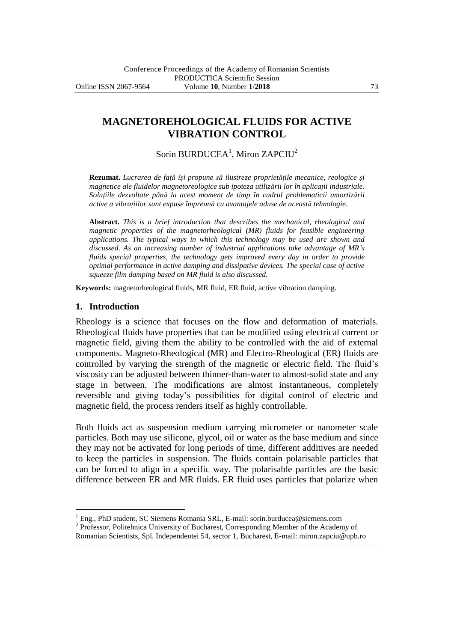**MAGNETOREHOLOGICAL FLUIDS FOR ACTIVE VIBRATION CONTROL**

Sorin BURDUCEA<sup>1</sup>, Miron ZAPCIU<sup>2</sup>

**Rezumat.** *Lucrarea de faţă îşi propune să ilustreze proprietăţile mecanice, reologice şi magnetice ale fluidelor magnetoreologice sub ipoteza utilizării lor în aplicaţii industriale. Soluţiile dezvoltate până la acest moment de timp în cadrul problematicii amortizării active a vibraţiilor sunt expuse împreună cu avantajele aduse de această tehnologie.*

**Abstract.** *This is a brief introduction that describes the mechanical, rheological and magnetic properties of the magnetorheological (MR) fluids for feasible engineering applications. The typical ways in which this technology may be used are shown and discussed. As an increasing number of industrial applications take advantage of MR's fluids special properties, the technology gets improved every day in order to provide optimal performance in active damping and dissipative devices. The special case of active squeeze film damping based on MR fluid is also discussed.*

**Keywords:** magnetorheological fluids, MR fluid, ER fluid, active vibration damping.

#### **1. Introduction**

 $\overline{a}$ 

Rheology is a science that focuses on the flow and deformation of materials. Rheological fluids have properties that can be modified using electrical current or magnetic field, giving them the ability to be controlled with the aid of external components. Magneto-Rheological (MR) and Electro-Rheological (ER) fluids are controlled by varying the strength of the magnetic or electric field. The fluid's viscosity can be adjusted between thinner-than-water to almost-solid state and any stage in between. The modifications are almost instantaneous, completely reversible and giving today's possibilities for digital control of electric and magnetic field, the process renders itself as highly controllable.

Both fluids act as suspension medium carrying micrometer or nanometer scale particles. Both may use silicone, glycol, oil or water as the base medium and since they may not be activated for long periods of time, different additives are needed to keep the particles in suspension. The fluids contain polarisable particles that can be forced to align in a specific way. The polarisable particles are the basic difference between ER and MR fluids. ER fluid uses particles that polarize when

 $1$  Eng., PhD student, SC Siemens Romania SRL, E-mail: sorin.burducea@siemens.com

<sup>2</sup> Professor, Politehnica University of Bucharest, Corresponding Member of the Academy of

Romanian Scientists, Spl. Independentei 54, sector 1, Bucharest, E-mail: miron.zapciu@upb.ro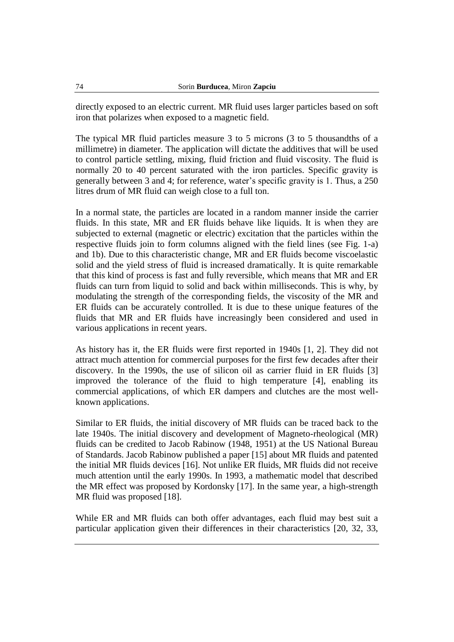directly exposed to an electric current. MR fluid uses larger particles based on soft iron that polarizes when exposed to a magnetic field.

The typical MR fluid particles measure 3 to 5 microns (3 to 5 thousandths of a millimetre) in diameter. The application will dictate the additives that will be used to control particle settling, mixing, fluid friction and fluid viscosity. The fluid is normally 20 to 40 percent saturated with the iron particles. Specific gravity is generally between 3 and 4; for reference, water's specific gravity is 1. Thus, a 250 litres drum of MR fluid can weigh close to a full ton.

In a normal state, the particles are located in a random manner inside the carrier fluids. In this state, MR and ER fluids behave like liquids. It is when they are subjected to external (magnetic or electric) excitation that the particles within the respective fluids join to form columns aligned with the field lines (see Fig. 1-a) and 1b). Due to this characteristic change, MR and ER fluids become viscoelastic solid and the yield stress of fluid is increased dramatically. It is quite remarkable that this kind of process is fast and fully reversible, which means that MR and ER fluids can turn from liquid to solid and back within milliseconds. This is why, by modulating the strength of the corresponding fields, the viscosity of the MR and ER fluids can be accurately controlled. It is due to these unique features of the fluids that MR and ER fluids have increasingly been considered and used in various applications in recent years.

As history has it, the ER fluids were first reported in 1940s [1, 2]. They did not attract much attention for commercial purposes for the first few decades after their discovery. In the 1990s, the use of silicon oil as carrier fluid in ER fluids [3] improved the tolerance of the fluid to high temperature [4], enabling its commercial applications, of which ER dampers and clutches are the most wellknown applications.

Similar to ER fluids, the initial discovery of MR fluids can be traced back to the late 1940s. The initial discovery and development of Magneto-rheological (MR) fluids can be credited to Jacob Rabinow (1948, 1951) at the US National Bureau of Standards. Jacob Rabinow published a paper [15] about MR fluids and patented the initial MR fluids devices [16]. Not unlike ER fluids, MR fluids did not receive much attention until the early 1990s. In 1993, a mathematic model that described the MR effect was proposed by Kordonsky [17]. In the same year, a high-strength MR fluid was proposed [18].

While ER and MR fluids can both offer advantages, each fluid may best suit a particular application given their differences in their characteristics [20, 32, 33,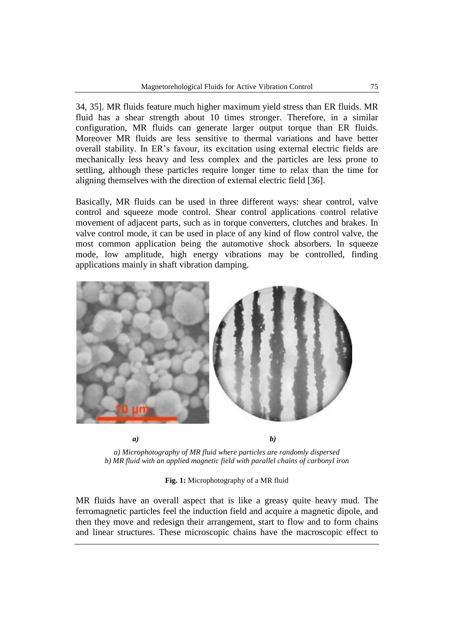34, 35]. MR fluids feature much higher maximum yield stress than ER fluids. MR fluid has a shear strength about 10 times stronger. Therefore, in a similar configuration, MR fluids can generate larger output torque than ER fluids. Moreover MR fluids are less sensitive to thermal variations and have better overall stability. In ER's favour, its excitation using external electric fields are mechanically less heavy and less complex and the particles are less prone to settling, although these particles require longer time to relax than the time for aligning themselves with the direction of external electric field [36].

Basically, MR fluids can be used in three different ways: shear control, valve control and squeeze mode control. Shear control applications control relative movement of adjacent parts, such as in torque converters, clutches and brakes. In valve control mode, it can be used in place of any kind of flow control valve, the most common application being the automotive shock absorbers. In squeeze mode, low amplitude, high energy vibrations may be controlled, finding applications mainly in shaft vibration damping.



*a) Microphotography of MR fluid where particles are randomly dispersed b) MR fluid with an applied magnetic field with parallel chains of carbonyl iron*

**Fig. 1:** Microphotography of a MR fluid

MR fluids have an overall aspect that is like a greasy quite heavy mud. The ferromagnetic particles feel the induction field and acquire a magnetic dipole, and then they move and redesign their arrangement, start to flow and to form chains and linear structures. These microscopic chains have the macroscopic effect to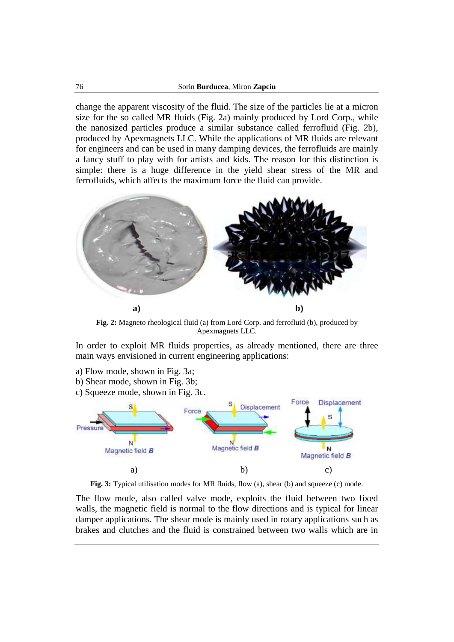change the apparent viscosity of the fluid. The size of the particles lie at a micron size for the so called MR fluids (Fig. 2a) mainly produced by Lord Corp., while the nanosized particles produce a similar substance called ferrofluid (Fig. 2b), produced by Apexmagnets LLC. While the applications of MR fluids are relevant for engineers and can be used in many damping devices, the ferrofluids are mainly a fancy stuff to play with for artists and kids. The reason for this distinction is simple: there is a huge difference in the yield shear stress of the MR and ferrofluids, which affects the maximum force the fluid can provide.



**Fig. 2:** Magneto rheological fluid (a) from Lord Corp. and ferrofluid (b), produced by Apexmagnets LLC.

In order to exploit MR fluids properties, as already mentioned, there are three main ways envisioned in current engineering applications:

- a) Flow mode, shown in Fig. 3a;
- b) Shear mode, shown in Fig. 3b;
- c) Squeeze mode, shown in Fig. 3c.



Fig. 3: Typical utilisation modes for MR fluids, flow (a), shear (b) and squeeze (c) mode.

The flow mode, also called valve mode, exploits the fluid between two fixed walls, the magnetic field is normal to the flow directions and is typical for linear damper applications. The shear mode is mainly used in rotary applications such as brakes and clutches and the fluid is constrained between two walls which are in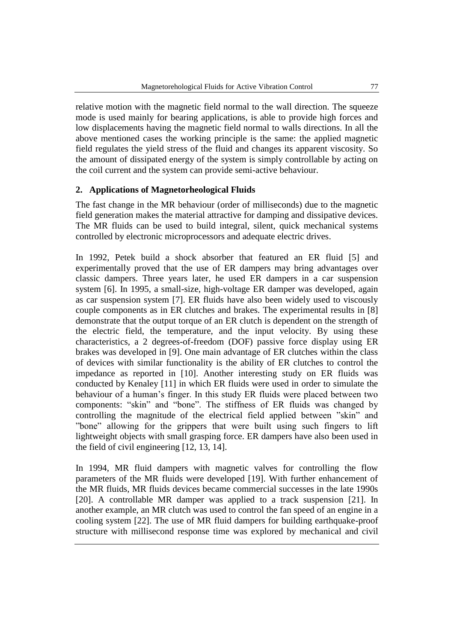relative motion with the magnetic field normal to the wall direction. The squeeze mode is used mainly for bearing applications, is able to provide high forces and low displacements having the magnetic field normal to walls directions. In all the above mentioned cases the working principle is the same: the applied magnetic field regulates the yield stress of the fluid and changes its apparent viscosity. So the amount of dissipated energy of the system is simply controllable by acting on the coil current and the system can provide semi-active behaviour.

# **2. Applications of Magnetorheological Fluids**

The fast change in the MR behaviour (order of milliseconds) due to the magnetic field generation makes the material attractive for damping and dissipative devices. The MR fluids can be used to build integral, silent, quick mechanical systems controlled by electronic microprocessors and adequate electric drives.

In 1992, Petek build a shock absorber that featured an ER fluid [5] and experimentally proved that the use of ER dampers may bring advantages over classic dampers. Three years later, he used ER dampers in a car suspension system [6]. In 1995, a small-size, high-voltage ER damper was developed, again as car suspension system [7]. ER fluids have also been widely used to viscously couple components as in ER clutches and brakes. The experimental results in [8] demonstrate that the output torque of an ER clutch is dependent on the strength of the electric field, the temperature, and the input velocity. By using these characteristics, a 2 degrees-of-freedom (DOF) passive force display using ER brakes was developed in [9]. One main advantage of ER clutches within the class of devices with similar functionality is the ability of ER clutches to control the impedance as reported in [10]. Another interesting study on ER fluids was conducted by Kenaley [11] in which ER fluids were used in order to simulate the behaviour of a human's finger. In this study ER fluids were placed between two components: "skin" and "bone". The stiffness of ER fluids was changed by controlling the magnitude of the electrical field applied between "skin" and "bone" allowing for the grippers that were built using such fingers to lift lightweight objects with small grasping force. ER dampers have also been used in the field of civil engineering [12, 13, 14].

In 1994, MR fluid dampers with magnetic valves for controlling the flow parameters of the MR fluids were developed [19]. With further enhancement of the MR fluids, MR fluids devices became commercial successes in the late 1990s [20]. A controllable MR damper was applied to a track suspension [21]. In another example, an MR clutch was used to control the fan speed of an engine in a cooling system [22]. The use of MR fluid dampers for building earthquake-proof structure with millisecond response time was explored by mechanical and civil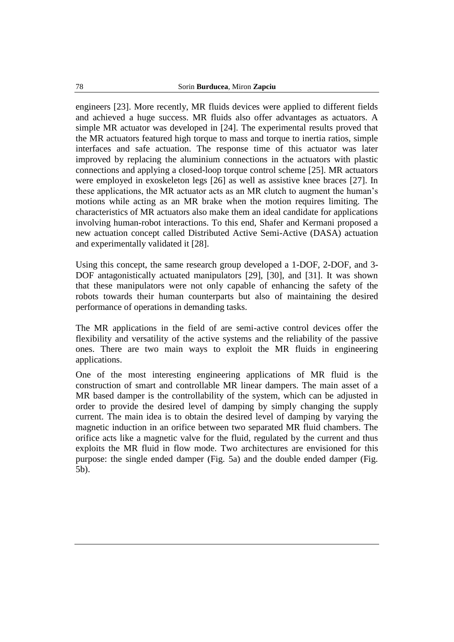engineers [23]. More recently, MR fluids devices were applied to different fields and achieved a huge success. MR fluids also offer advantages as actuators. A simple MR actuator was developed in [24]. The experimental results proved that the MR actuators featured high torque to mass and torque to inertia ratios, simple interfaces and safe actuation. The response time of this actuator was later improved by replacing the aluminium connections in the actuators with plastic connections and applying a closed-loop torque control scheme [25]. MR actuators were employed in exoskeleton legs [26] as well as assistive knee braces [27]. In these applications, the MR actuator acts as an MR clutch to augment the human's motions while acting as an MR brake when the motion requires limiting. The characteristics of MR actuators also make them an ideal candidate for applications involving human-robot interactions. To this end, Shafer and Kermani proposed a new actuation concept called Distributed Active Semi-Active (DASA) actuation and experimentally validated it [28].

Using this concept, the same research group developed a 1-DOF, 2-DOF, and 3- DOF antagonistically actuated manipulators [29], [30], and [31]. It was shown that these manipulators were not only capable of enhancing the safety of the robots towards their human counterparts but also of maintaining the desired performance of operations in demanding tasks.

The MR applications in the field of are semi-active control devices offer the flexibility and versatility of the active systems and the reliability of the passive ones. There are two main ways to exploit the MR fluids in engineering applications.

One of the most interesting engineering applications of MR fluid is the construction of smart and controllable MR linear dampers. The main asset of a MR based damper is the controllability of the system, which can be adjusted in order to provide the desired level of damping by simply changing the supply current. The main idea is to obtain the desired level of damping by varying the magnetic induction in an orifice between two separated MR fluid chambers. The orifice acts like a magnetic valve for the fluid, regulated by the current and thus exploits the MR fluid in flow mode. Two architectures are envisioned for this purpose: the single ended damper (Fig. 5a) and the double ended damper (Fig. 5b).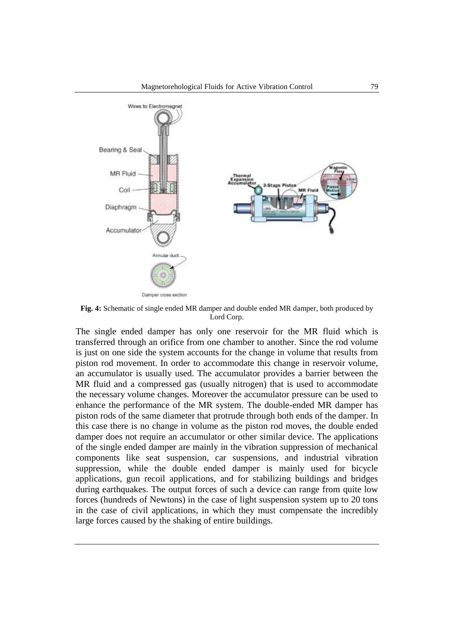

**Fig. 4:** Schematic of single ended MR damper and double ended MR damper, both produced by Lord Corp.

The single ended damper has only one reservoir for the MR fluid which is transferred through an orifice from one chamber to another. Since the rod volume is just on one side the system accounts for the change in volume that results from piston rod movement. In order to accommodate this change in reservoir volume, an accumulator is usually used. The accumulator provides a barrier between the MR fluid and a compressed gas (usually nitrogen) that is used to accommodate the necessary volume changes. Moreover the accumulator pressure can be used to enhance the performance of the MR system. The double-ended MR damper has piston rods of the same diameter that protrude through both ends of the damper. In this case there is no change in volume as the piston rod moves, the double ended damper does not require an accumulator or other similar device. The applications of the single ended damper are mainly in the vibration suppression of mechanical components like seat suspension, car suspensions, and industrial vibration suppression, while the double ended damper is mainly used for bicycle applications, gun recoil applications, and for stabilizing buildings and bridges during earthquakes. The output forces of such a device can range from quite low forces (hundreds of Newtons) in the case of light suspension system up to 20 tons in the case of civil applications, in which they must compensate the incredibly large forces caused by the shaking of entire buildings.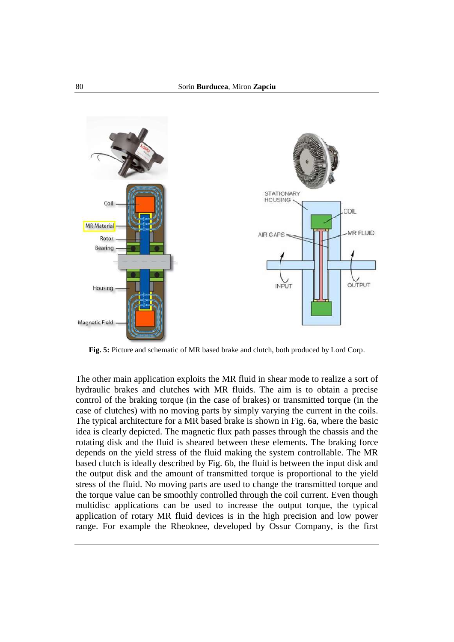

**Fig. 5:** Picture and schematic of MR based brake and clutch, both produced by Lord Corp.

The other main application exploits the MR fluid in shear mode to realize a sort of hydraulic brakes and clutches with MR fluids. The aim is to obtain a precise control of the braking torque (in the case of brakes) or transmitted torque (in the case of clutches) with no moving parts by simply varying the current in the coils. The typical architecture for a MR based brake is shown in Fig. 6a, where the basic idea is clearly depicted. The magnetic flux path passes through the chassis and the rotating disk and the fluid is sheared between these elements. The braking force depends on the yield stress of the fluid making the system controllable. The MR based clutch is ideally described by Fig. 6b, the fluid is between the input disk and the output disk and the amount of transmitted torque is proportional to the yield stress of the fluid. No moving parts are used to change the transmitted torque and the torque value can be smoothly controlled through the coil current. Even though multidisc applications can be used to increase the output torque, the typical application of rotary MR fluid devices is in the high precision and low power range. For example the Rheoknee, developed by Ossur Company, is the first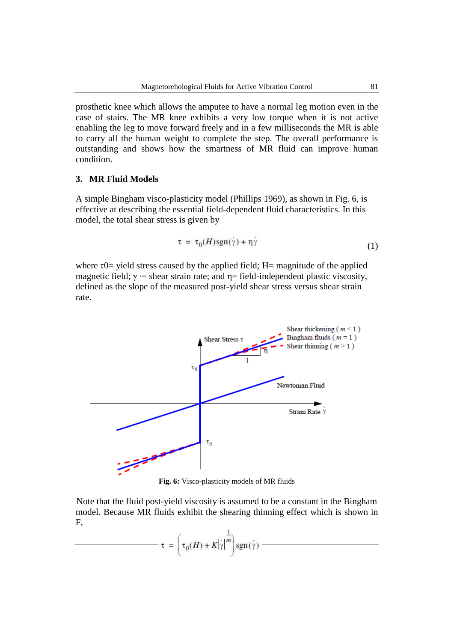prosthetic knee which allows the amputee to have a normal leg motion even in the case of stairs. The MR knee exhibits a very low torque when it is not active enabling the leg to move forward freely and in a few milliseconds the MR is able to carry all the human weight to complete the step. The overall performance is outstanding and shows how the smartness of MR fluid can improve human condition.

### **3. MR Fluid Models**

A simple Bingham visco-plasticity model (Phillips 1969), as shown in Fig. 6, is effective at describing the essential field-dependent fluid characteristics. In this model, the total shear stress is given by

$$
\tau = \tau_0(H)sgn(\gamma) + \eta \gamma \tag{1}
$$

where  $\tau$ 0= yield stress caused by the applied field; H= magnitude of the applied magnetic field;  $\gamma$  = shear strain rate; and  $\eta$ = field-independent plastic viscosity, defined as the slope of the measured post-yield shear stress versus shear strain rate.



**Fig. 6:** Visco-plasticity models of MR fluids

Note that the fluid post-yield viscosity is assumed to be a constant in the Bingham model. Because MR fluids exhibit the shearing thinning effect which is shown in F,

$$
\tau = \left(\tau_0(H) + K|\dot{\gamma}|^{\frac{1}{m}}\right) \text{sgn}(\dot{\gamma})
$$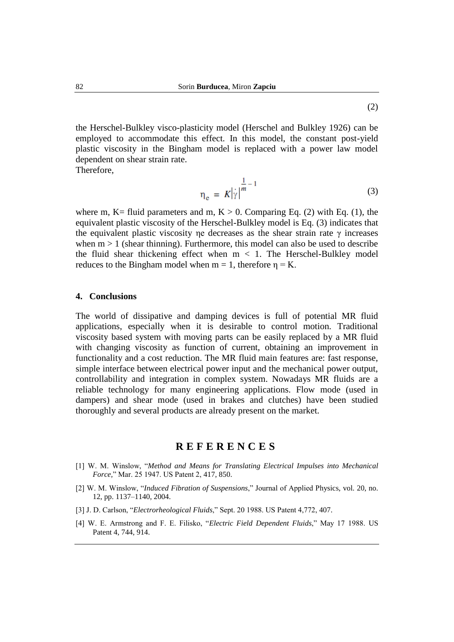the Herschel-Bulkley visco-plasticity model (Herschel and Bulkley 1926) can be employed to accommodate this effect. In this model, the constant post-yield plastic viscosity in the Bingham model is replaced with a power law model dependent on shear strain rate.

Therefore,

$$
\eta_{\rm e} = K \left| \dot{\gamma} \right|^{1 \over m - 1} \tag{3}
$$

where m, K= fluid parameters and m, K  $> 0$ . Comparing Eq. (2) with Eq. (1), the equivalent plastic viscosity of the Herschel-Bulkley model is Eq. (3) indicates that the equivalent plastic viscosity η decreases as the shear strain rate  $\gamma$  increases when  $m > 1$  (shear thinning). Furthermore, this model can also be used to describe the fluid shear thickening effect when  $m < 1$ . The Herschel-Bulkley model reduces to the Bingham model when  $m = 1$ , therefore  $\eta = K$ .

### **4. Conclusions**

The world of dissipative and damping devices is full of potential MR fluid applications, especially when it is desirable to control motion. Traditional viscosity based system with moving parts can be easily replaced by a MR fluid with changing viscosity as function of current, obtaining an improvement in functionality and a cost reduction. The MR fluid main features are: fast response, simple interface between electrical power input and the mechanical power output, controllability and integration in complex system. Nowadays MR fluids are a reliable technology for many engineering applications. Flow mode (used in dampers) and shear mode (used in brakes and clutches) have been studied thoroughly and several products are already present on the market.

# **R E F E R E N C E S**

- [1] W. M. Winslow, "*Method and Means for Translating Electrical Impulses into Mechanical Force,*" Mar. 25 1947. US Patent 2, 417, 850.
- [2] W. M. Winslow, "*Induced Fibration of Suspensions*," Journal of Applied Physics, vol. 20, no. 12, pp. 1137–1140, 2004.
- [3] J. D. Carlson, "*Electrorheological Fluids*," Sept. 20 1988. US Patent 4,772, 407.
- [4] W. E. Armstrong and F. E. Filisko, "*Electric Field Dependent Fluids*," May 17 1988. US Patent 4, 744, 914.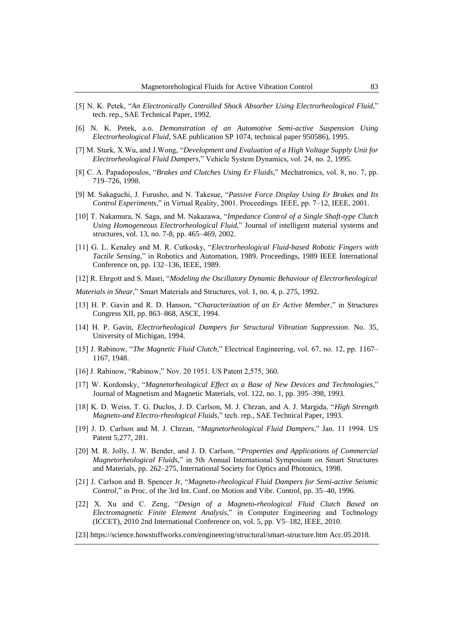- [5] N. K. Petek, "*An Electronically Controlled Shock Absorber Using Electrorheological Fluid,*" tech. rep., SAE Technical Paper, 1992.
- [6] N. K. Petek, a.o. *Demonstration of an Automotive Semi-active Suspension Using Electrorheological Fluid,* SAE publication SP 1074, technical paper 950586), 1995.
- [7] M. Sturk, X.Wu, and J.Wong, "*Development and Evaluation of a High Voltage Supply Unit for Electrorheological Fluid Dampers,*" Vehicle System Dynamics, vol. 24, no. 2, 1995.
- [8] C. A. Papadopoulos, "*Brakes and Clutches Using Er Fluids*," Mechatronics, vol. 8, no. 7, pp. 719–726, 1998.
- [9] M. Sakaguchi, J. Furusho, and N. Takesue, "*Passive Force Display Using Er Brakes and Its Control Experiments*," in Virtual Reality, 2001. Proceedings. IEEE, pp. 7–12, IEEE, 2001.
- [10] T. Nakamura, N. Saga, and M. Nakazawa, "*Impedance Control of a Single Shaft-type Clutch Using Homogeneous Electrorheological Fluid*," Journal of intelligent material systems and structures, vol. 13, no. 7-8, pp. 465–469, 2002.
- [11] G. L. Kenaley and M. R. Cutkosky, "*Electrorheological Fluid-based Robotic Fingers with Tactile Sensing,*" in Robotics and Automation, 1989. Proceedings, 1989 IEEE International Conference on, pp. 132–136, IEEE, 1989.
- [12] R. Ehrgott and S. Masri, "*Modeling the Oscillatory Dynamic Behaviour of Electrorheological*

*Materials in Shear*," Smart Materials and Structures, vol. 1, no. 4, p. 275, 1992.

- [13] H. P. Gavin and R. D. Hanson, "*Characterization of an Er Active Member*," in Structures Congress XII, pp. 863–868, ASCE, 1994.
- [14] H. P. Gavin, *Electrorheological Dampers for Structural Vibration Suppression*. No. 35, University of Michigan, 1994.
- [15] J. Rabinow, "*The Magnetic Fluid Clutch*," Electrical Engineering, vol. 67, no. 12, pp. 1167– 1167, 1948.
- [16] J. Rabinow, "Rabinow," Nov. 20 1951. US Patent 2,575, 360.
- [17] W. Kordonsky, "*Magnetorheological Effect as a Base of New Devices and Technologies,*" Journal of Magnetism and Magnetic Materials, vol. 122, no. 1, pp. 395–398, 1993.
- [18] K. D. Weiss, T. G. Duclos, J. D. Carlson, M. J. Chrzan, and A. J. Margida, "*High Strength Magneto-and Electro-rheological Fluids*," tech. rep., SAE Technical Paper, 1993.
- [19] J. D. Carlson and M. J. Chrzan, "*Magnetorheological Fluid Dampers*," Jan. 11 1994. US Patent 5,277, 281.
- [20] M. R. Jolly, J. W. Bender, and J. D. Carlson, "*Properties and Applications of Commercial Magnetorheological Fluids*," in 5th Annual International Symposium on Smart Structures and Materials, pp. 262–275, International Society for Optics and Photonics, 1998.
- [21] J. Carlson and B. Spencer Jr, "*Magneto-rheological Fluid Dampers for Semi-active Seismic Control*," in Proc. of the 3rd Int. Conf. on Motion and Vibr. Control, pp. 35–40, 1996.
- [22] X. Xu and C. Zeng, "*Design of a Magneto-rheological Fluid Clutch Based on Electromagnetic Finite Element Analysis*," in Computer Engineering and Technology (ICCET), 2010 2nd International Conference on, vol. 5, pp. V5–182, IEEE, 2010.
- [23] https://science.howstuffworks.com/engineering/structural/smart-structure.htm Acc.05.2018.